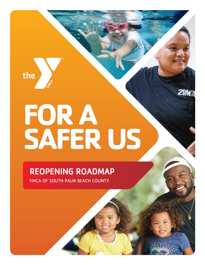

# FOR A<br>SAFER US

ZUM

# REOPENING ROADMAP YMCA OF SOUTH PALM BEACH COUNTY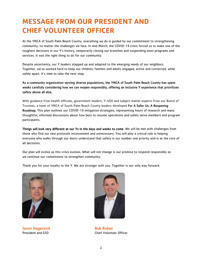# **MESSAGE FROM OUR PRESIDENT AND CHIEF VOLUNTEER OFFICER**

At the YMCA of South Palm Beach County, everything we do is guided by our commitment to strengthening community, no matter the challenges we face. In mid-March, the COVID-19 crisis forced us to make one of the toughest decisions in our Y's history, temporarily closing our branches and suspending most programs and services. It was the right thing to do for our community.

Despite uncertainty, our Y leaders stepped up and adapted to the emerging needs of our neighbors. Together, we've worked hard to keep our children, families and adults engaged, active and connected, while safely apart. It's time to take the next step.

# As a community organization serving diverse populations, the YMCA of South Palm Beach County has spent weeks carefully considering how we can reopen responsibly, offering an inclusive Y experience that prioritizes safety above all else.

With guidance from health officials, government leaders, Y-USA and subject matter experts from our Board of Trustees, a team of YMCA of South Palm Beach County leaders developed For A Safer Us: A Reopening Roadmap. This plan outlines our COVID-19 mitigation strategies, representing hours of research and many thoughtful, informed discussions about how best to resume operations and safely serve members and program participants.

Things will look very different at our Ys in the days and weeks to come. We will be met with challenges from those who find our new protocols inconvenient and unnecessary. You will play a critical role in helping everyone who walks through our doors understand that safety is our number one priority and is at the core of all decisions.

Our plan will evolve as this crisis evolves. What will not change is our promise to respond responsibly as we continue our commitment to strengthen community.

Thank you for your loyalty to the Y. We are stronger with you. Together is our only way forward.



**Jason Hagensick Bob Robes** Bob Robes



President and CEO Chief Volunteer Officer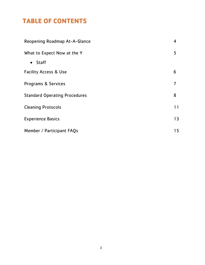# **TABLE OF CONTENTS**

| Reopening Roadmap At-A-Glance        |    |
|--------------------------------------|----|
| What to Expect Now at the Y          |    |
| $\bullet$ Staff                      |    |
| <b>Facility Access &amp; Use</b>     | 6  |
| Programs & Services                  | 7  |
| <b>Standard Operating Procedures</b> | 8  |
| <b>Cleaning Protocols</b>            | 11 |
| <b>Experience Basics</b>             |    |
| Member / Participant FAQs            |    |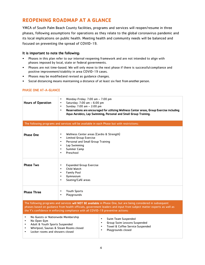# **REOPENING ROADMAP AT A GLANCE**

YMCA of South Palm Beach County facilities, programs and services will reopen/resume in three phases, following assumptions for operations as they relate to the global coronavirus pandemic and its local implications on public health. Meeting health and community needs will be balanced and focused on preventing the spread of COVID-19.

# It is important to note the following:

- Phases in this plan refer to our internal reopening framework and are not intended to align with phases imposed by local, state or federal governments.
- Phases are not time-based. We will only move to the next phase if there is successful compliance and positive improvement/stability in area COVID-19 cases.
- Phases may be modified and revised as guidance changes.
- Social distancing means maintaining a distance of at least six feet from another person.

# PHASE ONE AT-A-GLANCE

| <b>Hours of Operation</b>                                                                                                                                                                                                                                                                                                 | Monday-Friday: $7:00$ am $-7:00$ pm<br>$\bullet$<br>Saturday: $7:00$ am $-6:00$ pm<br>$\bullet$<br>Sunday: 7:00 am - 2:00 pm<br>$\bullet$<br>Reservations are encouraged for utilizing Wellness Center areas, Group Exercise including<br>$\bullet$<br>Aqua Aerobics, Lap Swimming, Personal and Small Group Training. |  |
|---------------------------------------------------------------------------------------------------------------------------------------------------------------------------------------------------------------------------------------------------------------------------------------------------------------------------|------------------------------------------------------------------------------------------------------------------------------------------------------------------------------------------------------------------------------------------------------------------------------------------------------------------------|--|
| The following programs and services will be available in each Phase but with restrictions:                                                                                                                                                                                                                                |                                                                                                                                                                                                                                                                                                                        |  |
| <b>Phase One</b>                                                                                                                                                                                                                                                                                                          | Wellness Center areas (Cardio & Strength)<br>$\bullet$<br>Limited Group Exercise<br>$\bullet$<br>Personal and Small Group Training<br>$\bullet$<br>Lap Swimming<br>$\bullet$<br>Summer Camp<br>$\bullet$<br>Preschool<br>$\bullet$                                                                                     |  |
| <b>Phase Two</b>                                                                                                                                                                                                                                                                                                          | <b>Expanded Group Exercise</b><br>٠<br>Child Watch<br>$\bullet$<br><b>Family Pool</b><br>$\bullet$<br>Gymnasium<br>$\bullet$<br>Seating/Café areas<br>$\bullet$                                                                                                                                                        |  |
| <b>Phase Three</b>                                                                                                                                                                                                                                                                                                        | <b>Youth Sports</b><br>٠<br>Playgrounds<br>$\bullet$                                                                                                                                                                                                                                                                   |  |
| The following programs and services will NOT BE available in Phase One, but are being considered in subsequent<br>phases based on guidance from health officials, government leaders and input from subject matter experts as well as<br>the Y's confidence in enforcing compliance with all COVID-19 preventive actions: |                                                                                                                                                                                                                                                                                                                        |  |
| No Guests or Nationwide Membership<br>٠<br>Swim Team Suspended<br>No Open Gym<br>Group Swim Lessons Suspended<br>Adult & Youth Sports Suspended<br>$\mathbf{r}$                                                                                                                                                           |                                                                                                                                                                                                                                                                                                                        |  |

- - Towel & Coffee Service Suspended<br>• Playgrounds closed • Playgrounds closed
- Whirlpool, Saunas & Steam Rooms closed<br>• Locker rooms and showers closed • Locker rooms and showers closed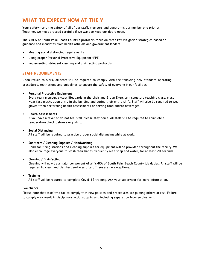# **WHAT TO EXPECT NOW AT THE Y**

Your safety—and the safety of all of our staff, members and guests—is our number one priority. Together, we must proceed carefully if we want to keep our doors open.

The YMCA of South Palm Beach County's protocols focus on three key mitigation strategies based on guidance and mandates from health officials and government leaders:

- Meeting social distancing requirements
- Using proper Personal Protective Equipment (PPE)
- Implementing stringent cleaning and disinfecting protocols

# STAFF REQUIREMENTS

Upon return to work, all staff will be required to comply with the following new standard operating procedures, restrictions and guidelines to ensure the safety of everyone in our facilities.

#### • Personal Protective Equipment

Every team member, except lifeguards in the chair and Group Exercise instructors teaching class, must wear face masks upon entry in the building and during their entire shift. Staff will also be required to wear gloves when performing health assessments or serving food and/or beverages.

#### • Health Assessments

If you have a fever or do not feel well, please stay home. All staff will be required to complete a temperature check before every shift.

## • Social Distancing

All staff will be required to practice proper social distancing while at work.

#### • Sanitizers / Cleaning Supplies / Handwashing

Hand sanitizing stations and cleaning supplies for equipment will be provided throughout the facility. We also encourage everyone to wash their hands frequently with soap and water, for at least 20 seconds.

#### • Cleaning / Disinfecting

Cleaning will now be a major component of all YMCA of South Palm Beach County job duties. All staff will be required to clean and disinfect surfaces often. There are no exceptions.

#### • Training

All staff will be required to complete Covid-19 training. Ask your supervisor for more information.

#### Compliance

Please note that staff who fail to comply with new policies and procedures are putting others at risk. Failure to comply may result in disciplinary actions, up to and including separation from employment.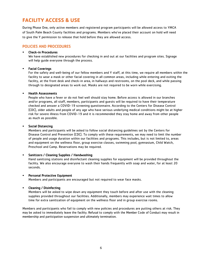# **FACILITY ACCESS & USE**

During Phase One, only active members and registered program participants will be allowed access to YMCA of South Palm Beach County facilities and programs. Members who've placed their account on hold will need to give the Y permission to release that hold before they are allowed access.

# POLICIES AND PROCEDURES

#### • Check-in Procedures

We have established new procedures for checking in and out at our facilities and program sites. Signage will help guide everyone through the process.

## **Facial Coverings**

For the safety and well-being of our fellow members and Y staff, at this time, we require all members within the facility to wear a mask or other facial covering in all common areas, including while entering and exiting the facility, at the front desk and check-in area, in hallways and restrooms, on the pool deck, and while passing through to designated areas to work out. Masks are not required to be worn while exercising.

#### • Health Assessments

People who have a fever or do not feel well should stay home. Before access is allowed in our branches and/or programs, all staff, members, participants and guests will be required to have their temperature checked and answer a COVID-19 screening questionnaire. According to the Centers for Disease Control (CDC), older adults and people of any age who have serious underlying medical conditions might be at higher risk for severe illness from COVID-19 and it is recommended they stay home and away from other people as much as possible.

#### • Social Distancing

Members and participants will be asked to follow social distancing guidelines set by the Centers for Disease Control and Prevention (CDC). To comply with these requirements, we may need to limit the number of people and usage duration within our facilities and programs. This includes, but is not limited to, areas and equipment on the wellness floor, group exercise classes, swimming pool, gymnasium, Child Watch, Preschool and Camp. Reservations may be required.

#### • Sanitizers / Cleaning Supplies / Handwashing

Hand sanitizing stations and disinfectant cleaning supplies for equipment will be provided throughout the facility. We also encourage everyone to wash their hands frequently with soap and water, for at least 20 seconds.

#### • Personal Protective Equipment

Members and participants are encouraged but not required to wear face masks.

#### • Cleaning / Disinfecting

Members will be asked to wipe down any equipment they touch before and after use with the cleaning supplies provided throughout our facilities. Additionally, members may experience wait times to allow time for extra sanitization of equipment on the wellness floor and in group exercise rooms.

Members and participants who fail to comply with new policies and procedures are putting others at risk. They may be asked to immediately leave the facility. Refusal to comply with the Member Code of Conduct may result in membership and participation suspension and ultimately termination.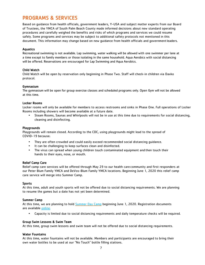# PROGRAMS & SERVICES

Based on guidance from health officials, government leaders, Y-USA and subject matter experts from our Board of Trustees, the YMCA of South Palm Beach County made informed decisions about new standard operating procedures and carefully weighed the benefits and risks of which programs and services we could resume safely. Some programs and services may be subject to additional safety protocols not mentioned in this document. This information may change based on new guidance from health officials and governmentleaders.

## Aquatics

Recreational swimming is not available. Lap swimming, water walking will be allowed with one swimmer per lane at a time except to family members or those isolating in the same household. Aqua Aerobics with social distancing will be offered. Reservations are encouraged for Lap Swimming and Aqua Aerobics.

# Child Watch

Child Watch will be open by reservation only beginning in Phase Two. Staff will check-in children via Daxko protocol.

## Gymnasium

The gymnasium will be open for group exercise classes and scheduled programs only. Open Gym will not be allowed at this time.

# Locker Rooms

Locker rooms will only be available for members to access restrooms and sinks in Phase One. Full operations of Locker Rooms including showers will become available at a future date.

• Steam Rooms, Saunas and Whirlpools will not be in use at this time due to requirements for social distancing, cleaning and disinfecting.

#### Playgrounds

Playgrounds will remain closed. According to the CDC, using playgrounds might lead to the spread of COVID-19 because:

- They are often crowded and could easily exceed recommended social distancing guidance.
- It can be challenging to keep surfaces clean and disinfected.
- The virus can spread when young children touch contaminated equipment and then touch their hands to their eyes, nose, or mouth.

#### Relief Camp Care

Relief camp care services will be offered through May 29 to our health care community and first responders at our Peter Blum Family YMCA and DeVos-Blum Family YMCA locations. Beginning June 1, 2020 this relief camp care service will merge into Summer Camp.

#### Sports

At this time, adult and youth sports will not be offered due to social distancing requirements. We are planning to resume the games but a date has not yet been determined.

#### Summer Camp

At this time, we are planning to hold [Summer Day Camp](https://www.ymcaspbc.org/programs/camp-ymca/summer-camp) beginning June 1, 2020. Registration documents are available [online.](https://www.ymcaspbc.org/programs/camp-ymca/summer-camp)

• Capacity is limited due to social distancing requirements and daily temperature checks will be required.

#### Group Swim Lessons & Swim Team

At this time, group swim lessons and swim team will not be offered due to social distancing requirements.

#### Water Fountains

At this time, water fountains will not be available. Members and participants are encouraged to bring their own water bottles to be used at our "No Touch" bottle filling stations.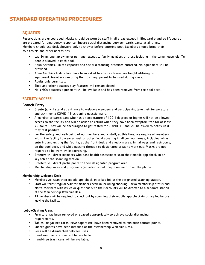# **STANDARD OPERATING PROCEDURES**

# AQUATICS

Reservations are encouraged. Masks should be worn by staff in all areas except in lifeguard stand so lifeguards are prepared for emergency response. Ensure social distancing between participants at all times. Members should use deck showers only to shower before entering pool. Members should bring their own towels and other necessities.

- Lap Swim: one lap swimmer per lane, except to family members or those isolating in the same household. Ten people allowed in each pool.
- Aqua Aerobics: limited capacity and social distancing practices enforced. No equipment will be provided.
- Aqua Aerobics Instructors have been asked to ensure classes are taught utilizing no equipment. Members can bring their own equipment to be used during class.
- Adults only permitted.
- Slide and other aquatics play features will remain closed.
- No YMCA aquatics equipment will be available and has been removed from the pool deck.

# FACILITY ACCESS

# Branch Entry

- Greeter(s) will stand at entrance to welcome members and participants, take their temperature and ask them a COVID-19 screening questionnaire.
- A member or participant who has a temperature of 100.4 degrees or higher will not be allowed access to the facility and will be asked to return when they have been symptom free for at least 72 hours. They will be encouraged to get tested for COVID-19 and will be asked to notify us if they test positive.
- For the safety and well-being of our members and Y staff, at this time, we require all members within the facility to wear a mask or other facial covering in all common areas, including while entering and exiting the facility, at the front desk and check-in area, in hallways and restrooms, on the pool deck, and while passing through to designated areas to work out. Masks are not required to be worn while exercising.
- Greeters will direct members who pass health assessment scan their mobile app check-in or key fob at the scanning station.
- Greeters will direct participants to their designated program area.
- Membership sales and program registration should begin online or over the phone.

# Membership Welcome Desk

- Members will scan their mobile app check-in or key fob at the designated scanning station.
- Staff will follow regular SOP for member check-in including checking Daxko membership status and alerts. Members with issues or questions with their accounts will be directed to a separate station at the Membership Welcome Desk.
- All members will be required to check out by scanning their mobile app check-in or key fob before leaving the facility.

#### Lobby/Seating Areas

- Furniture has been removed or spaced appropriately to achieve social distancing requirements.
- Tables, magazines racks, newspapers etc. have been removed to minimize contact points.
- Sneeze guards have been installed at the Membership Welcome Desk.
- Pens will be disinfected between uses.
- Hand sanitizer stations will be available.
- Hand-free trash cans will be available.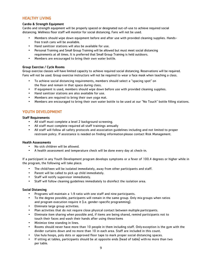# HEALTHY LIVING

## Cardio & Strength Equipment

Cardio and strength equipment will be properly spaced or designated out-of-use to achieve required social distancing. Wellness floor staff will monitor for social distancing. Fans will not be used.

- Members should wipe down equipment before and after use with provided cleaning supplies. Handsfree trash cans will be available.
- Hand sanitizer stations will also be available for use.
- Personal Training and Small Group Training will be allowed but must meet social distancing requirements at all times. It is preferred that Small Group Training is held outdoors.
- Members are encouraged to bring their own water bottle.

## Group Exercise / Cycle Rooms

Group exercise classes will have limited capacity to achieve required social distancing. Reservations will be required. Fans will not be used. Group exercise instructors will not be required to wear a face mask when teaching a class.

- To achieve social distancing requirements, members should select a "spacing spot" on the floor and remain in that space during class.
- If equipment is used, members should wipe down before use with provided cleaning supplies.
- Hand sanitizer stations are also available for use.
- Members are required to bring their own yoga mat.
- Members are encouraged to bring their own water bottle to be used at our "No Touch" bottle filling stations.

# YOUTH DEVELOPMENT

#### Staff Requirements

- All staff must complete a level 2 background screening.
- All staff must complete required all staff trainings annually
- All staff will follow all safety protocols and association guidelines including and not limited to proper restroom policy. If assistance is needed on finding information please contact Risk Management.

#### Health Assessments

- No sick children will be allowed.
- A health assessment and temperature check will be done every day at check-in.

If a participant in any Youth Development program develops symptoms or a fever of 100.4 degrees or higher while in the program, the following will take place:

- The child/teen will be isolated immediately, away from other participants and staff.
- Parent will be called to pick up child immediately.
- Staff will notify supervisor immediately.
- Staff will follow cleaning guidelines immediately to disinfect the isolation area.

#### Social Distancing

- Programs will maintain a 1:9 ratio with one staff and nine participants.
- To the degree possible, participants will remain in the same group. Only mix groups when ratios and program execution require it (i.e. gender-specific programming).
- Eliminate large group activities.
- Plan activities that do not require close physical contact between multiple participants.
- Eliminate item sharing when possible and, if items are being shared, remind participants not to touch their faces and wash their hands after using these items
- Minimize time standing in lines.
- Rooms should never have more than 10 people in them including staff. Only exception is the gym with the divider curtains down and no more than 10 in each area. Staff are included in this count.
- Use hula hoops, poly dots or approved floor tape to mark proper social distancing spaces.
- If sitting at tables, participants should be at opposite ends (head of table) with no more than two per table.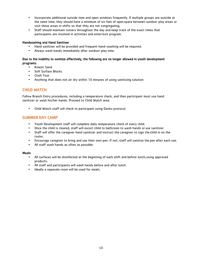- Incorporate additional outside time and open windows frequently. If multiple groups are outside at the same time, they should have a minimum of six feet of open space between outdoor play areas or visit these areas in shifts so that they are not congregating.
- Staff should maintain rosters throughout the day and keep track of the exact times that participants are involved in activities and enter/exit program.

## Handwashing and Hand Sanitizer

- Hand sanitizer will be provided and frequent hand-washing will be required.
- Always wash hands immediately after outdoor play time.

# Due to the inability to sanitize effectively, the following are no longer allowed in youth development programs:

- Kinetic Sand
- Soft Surface Blocks
- Cloth Toys
- Anything that does not air dry within 10 minutes of using sanitizing solution

# CHILD WATCH

Follow Branch Entry procedures, including a temperature check, and then participant must use hand sanitizer or wash his/her hands. Proceed to Child Watch area.

• Child Watch staff will check-in participant using Daxko protocol.

# SUMMER DAY CAMP

- Youth Development staff will complete daily temperature check of every child.
- Once the child is cleared, staff will escort child to bathroom to wash hands or use sanitizer.
- Staff will offer the caregiver hand sanitizer and instruct the caregiver to sign the child in on the roster.
- Encourage caregiver to bring and use their own pen. If not, staff will sanitize the pen after each use.
- All staff wash hands as often as possible.

#### Meals

- All surfaces will be disinfected at the beginning of each shift and before lunch,using approved products.
- All staff and participants will wash hands before and after lunch.
- Ideally a separate room will be used for meals.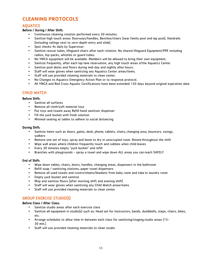# **CLEANING PROTOCOLS**

# AQUATICS

# Before / During / After Shift:

- Continuous cleaning rotation performed every 30 minutes.
- Sanitize high touch areas: Doorways/handles, Benches/chairs (near family pool and lap pool), Handrails (including railings next to zero-depth entry and slide).
- Spot checks 4x daily by Supervisor.
- Sanitize rescue tubes, lifeguard chairs after each rotation. No shared lifeguard Equipment/PPE including radios, hip-packs, whistles or guard tubes.
- No YMCA equipment will be available. Members will be allowed to bring their own equipment.
- Sanitize frequently, after each lap lane reservation, any high touch areas ofthe Aquatics Center.
- Sanitize pool decks and floors during mid-day and nightly after hours.
- Staff will wear gloves when sanitizing any Aquatics Center areas/items.
- Staff will use provided cleaning materials to clean center.
- No Changes to Aquatics Emergency Action Plan or to response protocol.
- All YMCA and Red Cross Aquatic Certifications have been extended 120 days beyond original expiration date.

# CHILD WATCH

# Before Shift:

- Sanitize all surfaces
- Remove all cloth/soft material toys
- Put toys and towels away Refill hand sanitizer dispenser
- Fill the yuck bucket with fresh solution
- Minimal seating at tables to adhere to social distancing

## During Shift:

- Sanitize items such as doors, gates, desk, phone, tablets, chairs, changing area, bouncers, swings, walkers
- Remove one set of toys, spray and leave to dry in unoccupied room. Rotate throughout the shift
- Wipe wall areas where children frequently touch and cubbies when child leaves
- Every 30 minutes empty "yuck bucket" and refill
- Branches with playgrounds spray a towel and wipe down ALL areas you can reach SAFELY

# End of Shift:

- Wipe down tables, chairs, doors, handles, changing areas, dispensers in the bathroom
- Refill soap / sanitizing stations, paper towel dispensers
- Remove all used towels and covers/sheets/blankets from baby room and take to laundry room
- Empty yuck bucket and sanitize
- Mop and sanitize floors (after morning shift and evening shift)
- Staff will wear gloves when sanitizing any Child Watch areas/items
- Staff will use provided cleaning materials to clean center

# GROUP EXERCISE STUDIO(S)

# Before Class / After Class:

- Sanitize studio areas after each exercise class
- Sanitize all equipment in studio(s) such as: Head set for Instructors, bands, dumbbells, steps, chairs, bikes, etc.
- Arrange schedules to allow time in-between each class for sanitizing/staging studio areas (15- 30 min.)
- Staff will use provided cleaning materials to clean studio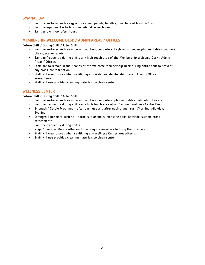# GYMNASIUM

- Sanitize surfaces such as gym doors, wall panels, handles, bleachers at least 3x/day
- Sanitize equipment balls, cones, etc. after each use
- Sanitize gym floor after hours

# MEMBERSHIP WELCOME DESK / ADMIN AREAS / OFFICES

## Before Shift / During Shift / After Shift:

- Sanitize surfaces such as desks, counters, computers, keyboards, mouse, phones, tables, cabinets, chairs, scanners, etc.
- Sanitize frequently during shifts any high touch area of the Membership Welcome Desk / Admin Areas / Offices
- Staff are to remain in their zones at the Welcome Membership Desk during entire shiftto prevent any cross-contamination
- Staff will wear gloves when sanitizing any Welcome Membership Desk / Admin /Office areas/items
- Staff will use provided cleaning materials to clean center

# WELLNESS CENTER

## Before Shift / During Shift / After Shift

- Sanitize surfaces such as desks, counters, computers, phones, tables, cabinets, chairs, etc.
- Sanitize frequently during shifts any high touch area of on / around Wellness Center Desk<br>• Strength / Cardio Machines after each use and after each branch rush (Morning Mid-dav
- Strength / Cardio Machines after each use and after each branch rush (Morning, Mid-day, Evening)
- Strength Equipment such as barbells, dumbbells, medicine balls, kettlebells, cable cross attachments
- Sanitize frequently during shifts
- Yoga / Exercise Mats after each use; require members to bring their own mat
- Staff will wear gloves when sanitizing any Wellness Center areas/items
- Staff will use provided cleaning materials to clean center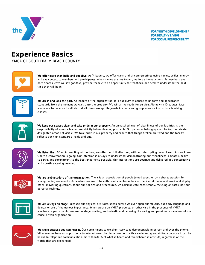

**FOR YOUTH DEVELOPMENT® FOR HEALTHY LIVING FOR SOCIAL RESPONSIBILITY** 

# **Experience Basics**

YMCA OF SOUTH PALM BEACH COUNTY



We offer more than hello and goodbye. As Y leaders, we offer warm and sincere greetings using names, smiles, energy and eye contact to members and participants. When names are not known, we forge introductions. As members and participants leave we say goodbye, provide them with an opportunity for feedback, and seek to understand the next time they will be in.



We dress and look the part. As leaders of the organization, it is our duty to adhere to uniform and appearance standards from the moment we walk onto the property. We will arrive ready for service. Along with ID badges, face masks are to be worn by all staff at all times, except lifeguards in chairs and group exercise instructors teaching classes.



We keep our spaces clean and take pride in our property. An unmatched level of cleanliness of our facilities is the responsibility of every Y leader. We strictly follow cleaning protocols. Our personal belongings will be kept in private, designated areas not visible. We take pride in our property and ensure that things broken are fixed and the facility reflects our high standards inside and out.



We listen first. When interacting with others, we offer our full attention, without interrupting, even if we think we know where a conversation is going. Our intention is always to understand, demonstrating our friendliness, empathy, desire to serve, and commitment to the best experience possible. Our interactions are positive and delivered in a constructive and non-threatening manner.



We are ambassadors of the organization. The Y is an association of people joined together by a shared passion for strengthening community. As leaders, we are to be enthusiastic ambassadors of the Y at all times – at work and at play. When answering questions about our policies and procedures, we communicate consistently, focusing on facts, not our personal feelings.



We are always on stage. Because our physical attitudes speak before we ever open our mouths, our body language and demeanor are of the utmost importance. When weare on YMCA property, or otherwise in the presence of YMCA members or participants, we are on stage, smiling, enthusiastic and behaving like caring and passionate members of our cause-driven organization.



We smile because you can hear it. Our commitment to excellent service is demonstrable in person and over the phone. Whenever we have an opportunity to interact over the phone, we do it with a smile and great attitude because it can be heard. In telephone communication, more than80% of what is heard and remembered is attitude, regardless of the words that are exchanged.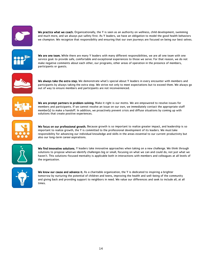

We practice what we coach. Organizationally, the Y is seen as an authority on wellness, child development, swimming and much more, and we always put safety first. As Y leaders, we have an obligation to model the good health behaviors we champion. We recognize that responsibility and ensuring that our own journeys are focused on being our best selves.



We are one team. While there are many Y leaders with many different responsibilities, we are all one team with one service goal: to provide safe, comfortable and exceptional experiences to those we serve. For that reason, we do not make negative comments about each other, our programs, other areas of operation in the presence of members, participants or guests.



We always take the extra step. We demonstrate what's special about Y leaders in every encounter with members and participants by always taking the extra step. We strive not only to meet expectations but to exceed them. We always go out of way to ensure members and participants are not inconvenienced.



We are prompt partners in problem-solving. Make it right is our motto. We are empowered to resolve issues for members and participants. If we cannot resolve an issue on our own, we immediately contact the appropriate staff member(s) to make a handoff. In addition, we proactively prevent crisis and diffuse situations by coming up with solutions that create positive experiences.



We focus on our professional growth. Because growth is so important to realize greater impact, and leadership is so important to realize growth, the Y is committed to the professional development of its leaders. We must take responsibility for advancing our individual knowledge and skills in the areas essential to our current productivity but also our long-term career aspirations.



We find innovative solutions. Y leaders take innovative approaches when taking on a new challenge. We think through solutions to propose whenwe identify challenges big or small, focusing on what we can and could do, not just what we haven't. This solutions-focused mentality is applicable both in interactions with members and colleagues at all levels of the organization.



We know our cause and advance it. As a charitable organization, the Y is dedicated to inspiring a brighter tomorrow by nurturing the potential of children and teens, improving the health and well-being of the community and giving back and providing support to neighbors in need. We value our differences and seek to include all, at all times.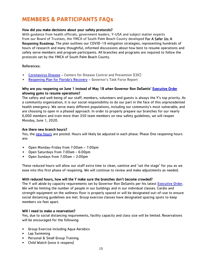# **MEMBERS & PARTICIPANTS FAQs**

# How did you make decisions about your safety protocols?

With guidance from health officials, government leaders, Y-USA and subject matter experts from our Board of Trustees, the YMCA of South Palm Beach County developed For A Safer Us: A Reopening Roadmap. The plan outlines our COVID-19 mitigation strategies, representing hundreds of hours of research and many thoughtful, informed discussions about how best to resume operations and safely serve members and program participants. All branches and programs are required to follow the protocols set by the YMCA of South Palm Beach County.

# References:

- [Coronavirus Disease](https://www.cdc.gov/coronavirus/2019-ncov/index.html) Centers for Disease Control and Prevention (CDC)
- [Reopening Plan for Florida's Recovery](https://www.flgov.com/wp-content/uploads/covid19/Taskforce%20Report.pdf) Governor's Task Force Report

# Why are you reopening on June 1 instead of May 18 when Governor Ron DeSantis' Executive Order allowing gyms to resume operations?

The safety and well-being of our staff, members, volunteers and guests is always the Y's top priority. As a community organization, it is our social responsibility to do our part in the face of this unprecedented health emergency. We serve many different populations, including our community's most vulnerable, and are choosing to open in a phased approach. In order to properly prepare our branches for our nearly 6,000 members and train more than 350 team members on new safety guidelines, we will reopen Monday, June 1, 2020.

# Are there new branch hours?

Yes, the [new hours](https://www.ymcaspbc.org/welcomeback) are posted. Hours will likely be adjusted in each phase. Phase One reopening hours are:

- Open Monday-Friday from 7:00am 7:00pm
- Open Saturdays from 7:00am 6:00pm
- Open Sundays from 7:00am 2:00pm

These reduced hours will allow our staff extra time to clean, sanitize and "set the stage" for you as we ease into this first phase of reopening. We will continue to review and make adjustments as needed.

# With reduced hours, how will the Y make sure the branches don't become crowded?

The Y will abide by capacity requirements set by Governor Ron DeSantis per his latest [Executive Order.](https://www.flgov.com/wp-content/uploads/orders/2020/EO_20-123.pdf) We will be limiting the number of people in our buildings and in our individual classes. Cardio and strength equipment on the wellness floor is properly spaced or will be designated out-of-use to ensure social distancing guidelines are met. Group exercise classes have designated spacing spots to keep members six feet apart.

# Will I need to make a reservation?

Yes, due to social distancing requirements, facility capacity and class size will be limited. Reservations will be encouraged for the following:

- Group Exercise including Aqua Aerobics
- Lap Swimming
- Personal & Small Group Training
- Child Watch (once it reopens)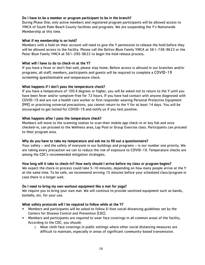# Do I have to be a member or program participant to be in the branch?

During Phase One, only active members and registered program participants will be allowed access to YMCA of South Palm Beach County facilities and programs. We are suspending the Y's Nationwide Membership at this time.

# What if my membership is on hold?

Members with a hold on their account will need to give the Y permission to release the hold before they will be allowed access to the facility. Please call the DeVos-Blum Family YMCA at 561-738-9622 or the Peter Blum Family YMCA at 561-395-9622 to begin the hold release process.

# What will I have to do to check-in at the Y?

If you have a fever or don't feel well, please stay home. Before access is allowed in our branches and/or programs, all staff, members, participants and guests will be required to complete a COVID-19 screening questionnaire and temperature check.

# What happens if I don't pass the temperature check?

If you have a temperature of 100.4 degrees or higher, you will be asked not to return to the Y until you have been fever and/or symptom-free for 72 hours. If you have had contact with anyone diagnosed with COVID-19 and are not a health care worker or first responder wearing Personal Protective Equipment (PPE) or practicing universal precautions, you cannot return to the Y for at least 14 days. You will be encouraged to get tested for COVID-19 and notify us if you test positive.

# What happens after I pass the temperature check?

Members will move to the scanning station to scan their mobile app check-in or key fob and once checked-in, can proceed to the Wellness area, Lap Pool or Group Exercise class. Participants can proceed to their program area.

# Why do you have to take my temperature and ask me to fill out a questionnaire?

Your safety – and the safety of everyone in our buildings and programs – is our number one priority. We are taking every precaution we can to reduce the risk of exposure to COVID-19. Temperature checks are among the CDC's recommended mitigation strategies.

# How long will it take to check-in? How early should I arrive before my class or program begins?

We expect the check-in process could take 5-10 minutes, depending on how many people arrive at the Y at the same time. To be safe, we recommend arriving 15 minutes before your scheduled class/program in case there is a longer wait.

# Do I need to bring my own workout equipment like a mat for yoga?

We require you to bring your own mat. We will continue to provide sanitized equipment such as bands, barbells, etc. for your use.

# What safety protocols will I be required to follow while at the Y?

- Members and participants will be asked to follow 6-foot social distancing guidelines set by the Centers for Disease Control and Prevention (CDC).
- Members and participants are required to wear face coverings in all common areas of the facility. According to the CDC, you should:
	- $\circ$  Wear cloth face coverings in public settings where other social distancing measures are difficult to maintain, especially in areas of significant community-based transmission.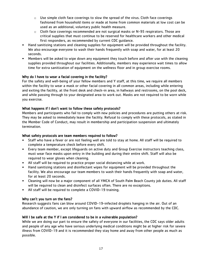- $\circ$  Use simple cloth face coverings to slow the spread of the virus. Cloth face coverings fashioned from household items or made at home from common materials at low cost can be used as an additional, voluntary public health measure.
- $\circ$  Cloth face coverings recommended are not surgical masks or N-95 respirators. Those are critical supplies that must continue to be reserved for healthcare workers and other medical first responders, as recommended by current CDC guidance.
- Hand sanitizing stations and cleaning supplies for equipment will be provided throughout the facility. We also encourage everyone to wash their hands frequently with soap and water, for at least 20 seconds.
- Members will be asked to wipe down any equipment they touch before and after use with the cleaning supplies provided throughout our facilities. Additionally, members may experience wait times to allow time for extra sanitization of equipment on the wellness floor and in group exercise rooms.

# Why do I have to wear a facial covering in the facility?

For the safety and well-being of your fellow members and Y staff, at this time, we require all members within the facility to wear a mask or other facial covering in all common areas, including while entering and exiting the facility, at the front desk and check-in area, in hallways and restrooms, on the pool deck, and while passing through to your designated area to work out. Masks are not required to be worn while you exercise.

# What happens if I don't want to follow these safety protocols?

Members and participants who fail to comply with new policies and procedures are putting others at risk. They may be asked to immediately leave the facility. Refusal to comply with these protocols, as stated in the Member Code of Conduct, may result in membership and participation suspension and ultimately termination.

# What safety protocols are team members required to follow?

- Staff who have a fever or are not feeling well are told to stay at home. All staff will be required to complete a temperature check before every shift.
- Every team member, except lifeguards on active duty and Group Exercise instructors teaching class, must wear face masks upon entry in the building and during their entire shift. Staff will also be required to wear gloves when cleaning.
- All staff will be required to practice proper social distancing while at work.
- Hand sanitizing stations and disinfectant wipes for equipment will be provided throughout the facility. We also encourage our team members to wash their hands frequently with soap and water, for at least 20 seconds.
- Cleaning will now be a major component of all YMCA of South Palm Beach County job duties. All staff will be required to clean and disinfect surfaces often. There are no exceptions.
- All staff will be required to complete a COVID-19 training.

# Why can't you turn on the fans?

Research suggests fans can blow around COVID-19-infected droplets hanging in the air. Out of an abundance of caution, we are only turning on fans with upward airflow as recommended by the CDC.

# Will I be safe at the Y if I am considered to be in a vulnerable population?

While we are doing our part to ensure the safety of everyone in our facilities, the CDC says older adults and people of any age who have serious underlying medical conditions might be at higher risk for severe illness from COVID-19 and it is recommended they stay home and away from other people as much as possible.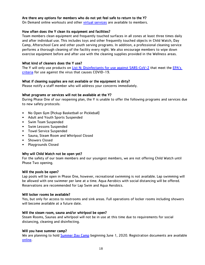# Are there any options for members who do not yet feel safe to return to the Y?

On Demand online workouts and other [virtual services](https://www.ymcaspbc.org/virtualfitness) are available to members.

## How often does the Y clean its equipment and facilities?

Team members clean equipment and frequently touched surfaces in all zones at least three times daily and after individual use. This includes toys and other frequently touched objects in Child Watch, Day Camp, Afterschool Care and other youth serving programs. In addition, a professional cleaning service performs a thorough cleaning of the facility every night. We also encourage members to wipe down exercise equipment before and after use with the cleaning supplies provided in the Wellness areas.

# What kind of cleaners does the Y use?

The Y will only use products on [List N: Disinfectants for use against SARS-CoV-2](https://www.epa.gov/pesticide-registration/list-n-disinfectants-use-against-sars-cov-2) that meet the EPA's [criteria](https://www.epa.gov/coronavirus/how-does-epa-know-products-list-n-work-sars-cov-2) for use against the virus that causes COVID-19.

# What if cleaning supplies are not available or the equipment is dirty?

Please notify a staff member who will address your concerns immediately.

# What programs or services will not be available at the Y?

During Phase One of our reopening plan, the Y is unable to offer the following programs and services due to new safety protocols:

- No Open Gym (Pickup Basketball or Pickleball)
- Adult and Youth Sports Suspended
- Swim Team Suspended
- Swim Lessons Suspended
- Towel Service Suspended
- Sauna, Steam Room and Whirlpool Closed
- Showers Closed
- Playgrounds Closed

# Why will Child Watch not be open yet?

For the safety of our team members and our youngest members, we are not offering Child Watch until Phase Two opening.

# Will the pools be open?

Lap pools will be open in Phase One, however, recreational swimming is not available. Lap swimming will be allowed with one swimmer per lane at a time. Aqua Aerobics with social distancing will be offered. Reservations are recommended for Lap Swim and Aqua Aerobics.

# Will locker rooms be available?

Yes, but only for access to restrooms and sink areas. Full operations of locker rooms including showers will become available at a future date.

# Will the steam room, sauna and/or whirlpool be open?

Steam Rooms, Saunas and whirlpool will not be in use at this time due to requirements for social distancing, cleaning and disinfecting.

# Will you have summer camp?

We are planning to hold **[Summer Day Camp](https://www.ymcaspbc.org/programs/camp-ymca/summer-camp)** beginning June 1, 2020. Registration documents are available [online.](https://www.ymcaspbc.org/programs/camp-ymca/summer-camp)